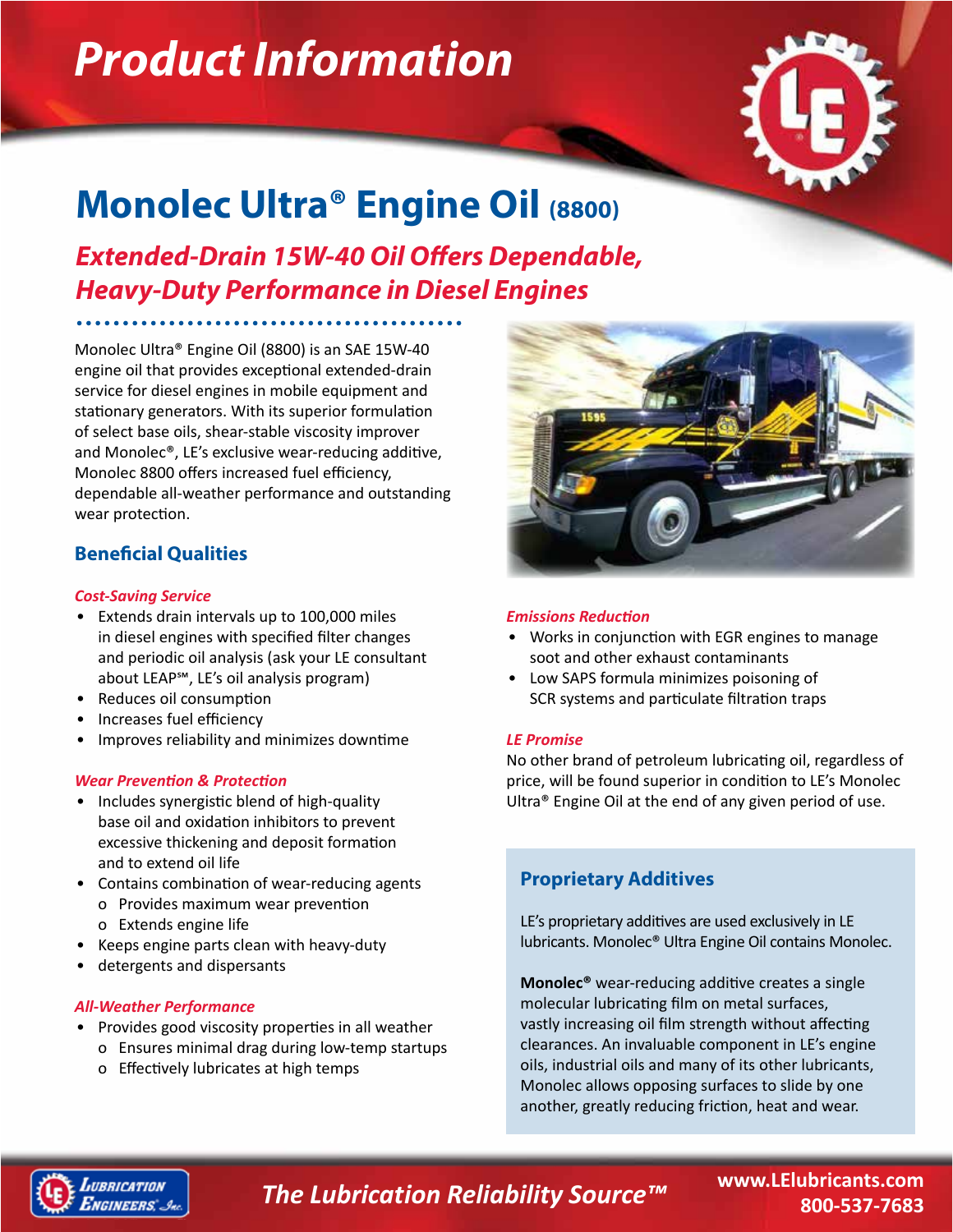# *Product Information*



## **Monolec Ultra® Engine Oil (8800)**

*Extended-Drain 15W-40 Oil Offers Dependable, Heavy-Duty Performance in Diesel Engines*

Monolec Ultra® Engine Oil (8800) is an SAE 15W-40 engine oil that provides exceptional extended-drain service for diesel engines in mobile equipment and stationary generators. With its superior formulation of select base oils, shear-stable viscosity improver and Monolec®, LE's exclusive wear-reducing additive, Monolec 8800 offers increased fuel efficiency, dependable all-weather performance and outstanding wear protection.

#### **Beneficial Qualities**

#### *Cost-Saving Service*

- Extends drain intervals up to 100,000 miles in diesel engines with specified filter changes and periodic oil analysis (ask your LE consultant about LEAP℠, LE's oil analysis program)
- Reduces oil consumption
- Increases fuel efficiency
- Improves reliability and minimizes downtime

#### *Wear Prevention & Protection*

- Includes synergistic blend of high-quality base oil and oxidation inhibitors to prevent excessive thickening and deposit formation and to extend oil life
- Contains combination of wear-reducing agents o Provides maximum wear prevention o Extends engine life
- Keeps engine parts clean with heavy-duty
- detergents and dispersants

#### *All-Weather Performance*

- Provides good viscosity properties in all weather
	- o Ensures minimal drag during low-temp startups
	- o Effectively lubricates at high temps



#### *Emissions Reduction*

- Works in conjunction with EGR engines to manage soot and other exhaust contaminants
- Low SAPS formula minimizes poisoning of SCR systems and particulate filtration traps

#### *LE Promise*

No other brand of petroleum lubricating oil, regardless of price, will be found superior in condition to LE's Monolec Ultra® Engine Oil at the end of any given period of use.

#### **Proprietary Additives**

LE's proprietary additives are used exclusively in LE lubricants. Monolec® Ultra Engine Oil contains Monolec.

**Monolec®** wear-reducing additive creates a single molecular lubricating film on metal surfaces, vastly increasing oil film strength without affecting clearances. An invaluable component in LE's engine oils, industrial oils and many of its other lubricants, Monolec allows opposing surfaces to slide by one another, greatly reducing friction, heat and wear.



### *The Lubrication Reliability Source™*